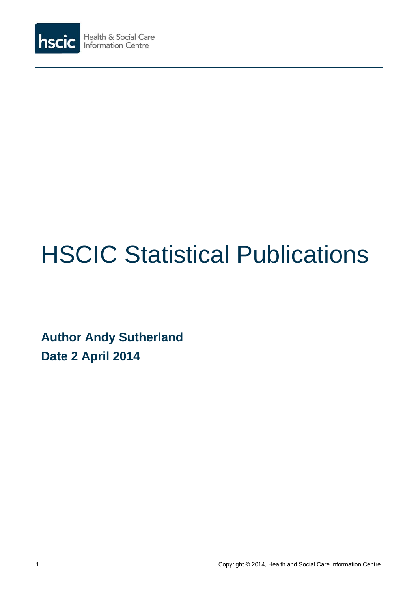

# HSCIC Statistical Publications

**Author Andy Sutherland Date 2 April 2014**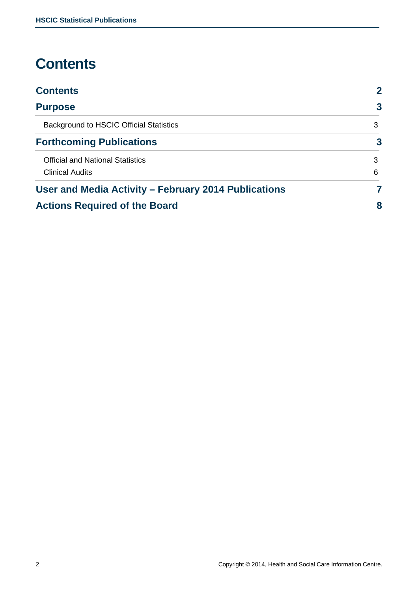# **Contents**

| <b>Contents</b>                                      | $\overline{2}$          |  |
|------------------------------------------------------|-------------------------|--|
| <b>Purpose</b>                                       | $\overline{3}$          |  |
| <b>Background to HSCIC Official Statistics</b>       | 3                       |  |
| <b>Forthcoming Publications</b>                      | $\overline{\mathbf{3}}$ |  |
| <b>Official and National Statistics</b>              | 3                       |  |
| <b>Clinical Audits</b>                               | 6                       |  |
| User and Media Activity - February 2014 Publications | 7                       |  |
| <b>Actions Required of the Board</b>                 | 8                       |  |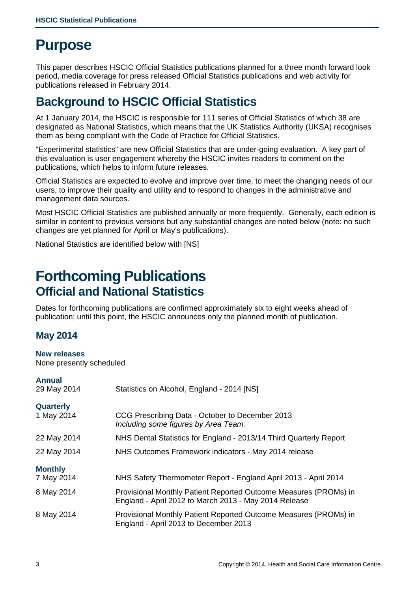# **Purpose**

This paper describes HSCIC Official Statistics publications planned for a three month forward look period, media coverage for press released Official Statistics publications and web activity for publications released in February 2014.

## **Background to HSCIC Official Statistics**

At 1 January 2014, the HSCIC is responsible for 111 series of Official Statistics of which 38 are designated as National Statistics, which means that the UK Statistics Authority (UKSA) recognises them as being compliant with the Code of Practice for Official Statistics.

"Experimental statistics" are new Official Statistics that are under-going evaluation. A key part of this evaluation is user engagement whereby the HSCIC invites readers to comment on the publications, which helps to inform future releases.

Official Statistics are expected to evolve and improve over time, to meet the changing needs of our users, to improve their quality and utility and to respond to changes in the administrative and management data sources.

Most HSCIC Official Statistics are published annually or more frequently. Generally, each edition is similar in content to previous versions but any substantial changes are noted below (note: no such changes are yet planned for April or May's publications).

National Statistics are identified below with [NS]

## **Forthcoming Publications Official and National Statistics**

Dates for forthcoming publications are confirmed approximately six to eight weeks ahead of publication; until this point, the HSCIC announces only the planned month of publication.

## **May 2014**

## **New releases**

None presently scheduled

| Annua |  |  |
|-------|--|--|
|       |  |  |

| 29 May 2014    | Statistics on Alcohol, England - 2014 [NS]                                                                                |  |  |  |
|----------------|---------------------------------------------------------------------------------------------------------------------------|--|--|--|
| Quarterly      |                                                                                                                           |  |  |  |
| 1 May 2014     | CCG Prescribing Data - October to December 2013<br>Including some figures by Area Team.                                   |  |  |  |
| 22 May 2014    | NHS Dental Statistics for England - 2013/14 Third Quarterly Report                                                        |  |  |  |
| 22 May 2014    | NHS Outcomes Framework indicators - May 2014 release                                                                      |  |  |  |
| <b>Monthly</b> |                                                                                                                           |  |  |  |
| 7 May 2014     | NHS Safety Thermometer Report - England April 2013 - April 2014                                                           |  |  |  |
| 8 May 2014     | Provisional Monthly Patient Reported Outcome Measures (PROMs) in<br>England - April 2012 to March 2013 - May 2014 Release |  |  |  |
| 8 May 2014     | Provisional Monthly Patient Reported Outcome Measures (PROMs) in<br>England - April 2013 to December 2013                 |  |  |  |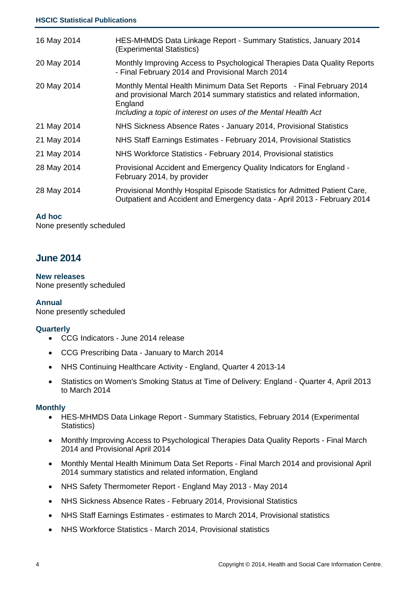| 16 May 2014 | HES-MHMDS Data Linkage Report - Summary Statistics, January 2014<br>(Experimental Statistics)                                                                                                                               |
|-------------|-----------------------------------------------------------------------------------------------------------------------------------------------------------------------------------------------------------------------------|
| 20 May 2014 | Monthly Improving Access to Psychological Therapies Data Quality Reports<br>- Final February 2014 and Provisional March 2014                                                                                                |
| 20 May 2014 | Monthly Mental Health Minimum Data Set Reports - Final February 2014<br>and provisional March 2014 summary statistics and related information,<br>England<br>Including a topic of interest on uses of the Mental Health Act |
| 21 May 2014 | NHS Sickness Absence Rates - January 2014, Provisional Statistics                                                                                                                                                           |
| 21 May 2014 | NHS Staff Earnings Estimates - February 2014, Provisional Statistics                                                                                                                                                        |
| 21 May 2014 | NHS Workforce Statistics - February 2014, Provisional statistics                                                                                                                                                            |
| 28 May 2014 | Provisional Accident and Emergency Quality Indicators for England -<br>February 2014, by provider                                                                                                                           |
| 28 May 2014 | Provisional Monthly Hospital Episode Statistics for Admitted Patient Care,<br>Outpatient and Accident and Emergency data - April 2013 - February 2014                                                                       |

## **Ad hoc**

None presently scheduled

## **June 2014**

#### **New releases**

None presently scheduled

## **Annual**

None presently scheduled

#### **Quarterly**

- CCG Indicators June 2014 release
- CCG Prescribing Data January to March 2014
- NHS Continuing Healthcare Activity England, Quarter 4 2013-14
- Statistics on Women's Smoking Status at Time of Delivery: England Quarter 4, April 2013 to March 2014

#### **Monthly**

- HES-MHMDS Data Linkage Report Summary Statistics, February 2014 (Experimental Statistics)
- Monthly Improving Access to Psychological Therapies Data Quality Reports Final March 2014 and Provisional April 2014
- Monthly Mental Health Minimum Data Set Reports Final March 2014 and provisional April 2014 summary statistics and related information, England
- NHS Safety Thermometer Report England May 2013 May 2014
- NHS Sickness Absence Rates February 2014, Provisional Statistics
- NHS Staff Earnings Estimates estimates to March 2014, Provisional statistics
- NHS Workforce Statistics March 2014, Provisional statistics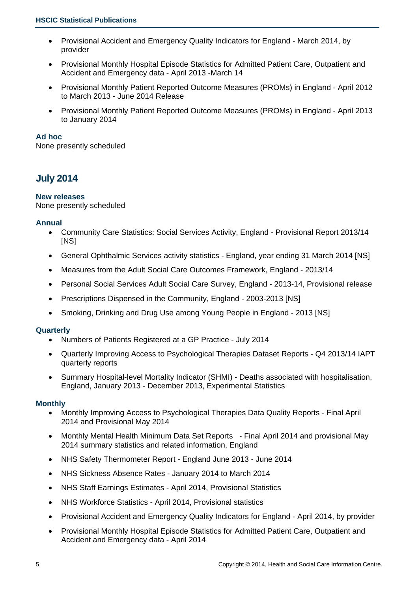- Provisional Accident and Emergency Quality Indicators for England March 2014, by provider
- Provisional Monthly Hospital Episode Statistics for Admitted Patient Care, Outpatient and Accident and Emergency data - April 2013 -March 14
- Provisional Monthly Patient Reported Outcome Measures (PROMs) in England April 2012 to March 2013 - June 2014 Release
- Provisional Monthly Patient Reported Outcome Measures (PROMs) in England April 2013 to January 2014

## **Ad hoc**

None presently scheduled

## **July 2014**

## **New releases**

None presently scheduled

## **Annual**

- Community Care Statistics: Social Services Activity, England Provisional Report 2013/14 [NS]
- General Ophthalmic Services activity statistics England, year ending 31 March 2014 [NS]
- Measures from the Adult Social Care Outcomes Framework, England 2013/14
- Personal Social Services Adult Social Care Survey, England 2013-14, Provisional release
- Prescriptions Dispensed in the Community, England 2003-2013 [NS]
- Smoking, Drinking and Drug Use among Young People in England 2013 [NS]

#### **Quarterly**

- Numbers of Patients Registered at a GP Practice July 2014
- Quarterly Improving Access to Psychological Therapies Dataset Reports Q4 2013/14 IAPT quarterly reports
- Summary Hospital-level Mortality Indicator (SHMI) Deaths associated with hospitalisation, England, January 2013 - December 2013, Experimental Statistics

## **Monthly**

- Monthly Improving Access to Psychological Therapies Data Quality Reports Final April 2014 and Provisional May 2014
- Monthly Mental Health Minimum Data Set Reports Final April 2014 and provisional May 2014 summary statistics and related information, England
- NHS Safety Thermometer Report England June 2013 June 2014
- NHS Sickness Absence Rates January 2014 to March 2014
- NHS Staff Earnings Estimates April 2014, Provisional Statistics
- NHS Workforce Statistics April 2014, Provisional statistics
- Provisional Accident and Emergency Quality Indicators for England April 2014, by provider
- Provisional Monthly Hospital Episode Statistics for Admitted Patient Care, Outpatient and Accident and Emergency data - April 2014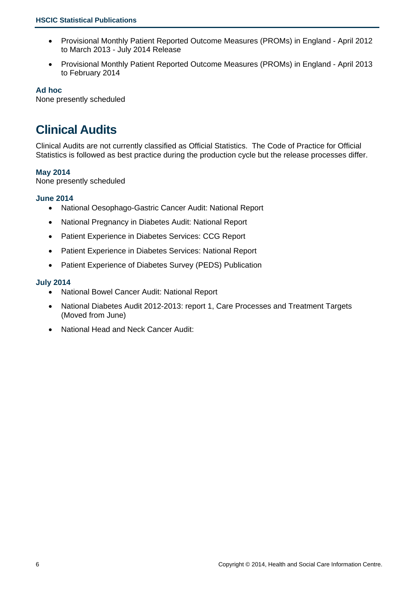- Provisional Monthly Patient Reported Outcome Measures (PROMs) in England April 2012 to March 2013 - July 2014 Release
- Provisional Monthly Patient Reported Outcome Measures (PROMs) in England April 2013 to February 2014

## **Ad hoc**

None presently scheduled

## **Clinical Audits**

Clinical Audits are not currently classified as Official Statistics. The Code of Practice for Official Statistics is followed as best practice during the production cycle but the release processes differ.

## **May 2014**

None presently scheduled

## **June 2014**

- National Oesophago-Gastric Cancer Audit: National Report
- National Pregnancy in Diabetes Audit: National Report
- Patient Experience in Diabetes Services: CCG Report
- Patient Experience in Diabetes Services: National Report
- Patient Experience of Diabetes Survey (PEDS) Publication

## **July 2014**

- National Bowel Cancer Audit: National Report
- National Diabetes Audit 2012-2013: report 1, Care Processes and Treatment Targets (Moved from June)
- National Head and Neck Cancer Audit: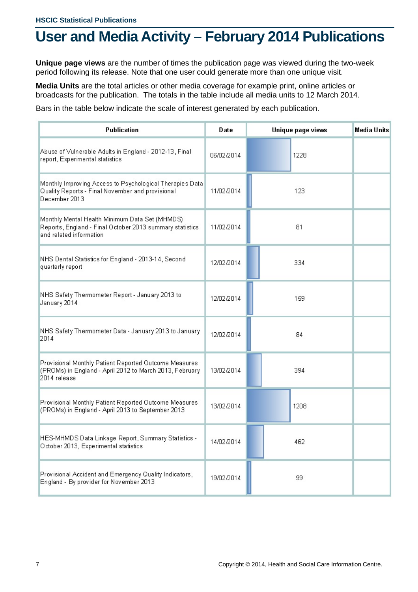# **User and Media Activity – February 2014 Publications**

**Unique page views** are the number of times the publication page was viewed during the two-week period following its release. Note that one user could generate more than one unique visit.

**Media Units** are the total articles or other media coverage for example print, online articles or broadcasts for the publication. The totals in the table include all media units to 12 March 2014.

Bars in the table below indicate the scale of interest generated by each publication.

| <b>Publication</b>                                                                                                                    | Date       | Unique page views | Media Units |
|---------------------------------------------------------------------------------------------------------------------------------------|------------|-------------------|-------------|
| Abuse of Vulnerable Adults in England - 2012-13, Final<br>report, Experimental statistics                                             | 06/02/2014 | 1228              |             |
| Monthly Improving Access to Psychological Therapies Data<br>Quality Reports - Final November and provisional<br>December 2013         | 11/02/2014 | 123               |             |
| Monthly Mental Health Minimum Data Set (MHMDS)<br>Reports, England - Final October 2013 summary statistics<br>and related information | 11/02/2014 | 81                |             |
| NHS Dental Statistics for England - 2013-14, Second<br>quarterly report                                                               | 12/02/2014 | 334               |             |
| NHS Safety Thermometer Report - January 2013 to<br>January 2014                                                                       | 12/02/2014 | 159               |             |
| NHS Safety Thermometer Data - January 2013 to January<br>2014                                                                         | 12/02/2014 | 84                |             |
| Provisional Monthly Patient Reported Outcome Measures<br>(PROMs) in England - April 2012 to March 2013, February<br>2014 release      | 13/02/2014 | 394               |             |
| Provisional Monthly Patient Reported Outcome Measures<br>(PROMs) in England - April 2013 to September 2013                            | 13/02/2014 | 1208              |             |
| HES-MHMDS Data Linkage Report, Summary Statistics -<br>October 2013, Experimental statistics                                          | 14/02/2014 | 462               |             |
| Provisional Accident and Emergency Quality Indicators,<br>England - By provider for November 2013                                     | 19/02/2014 | 99                |             |